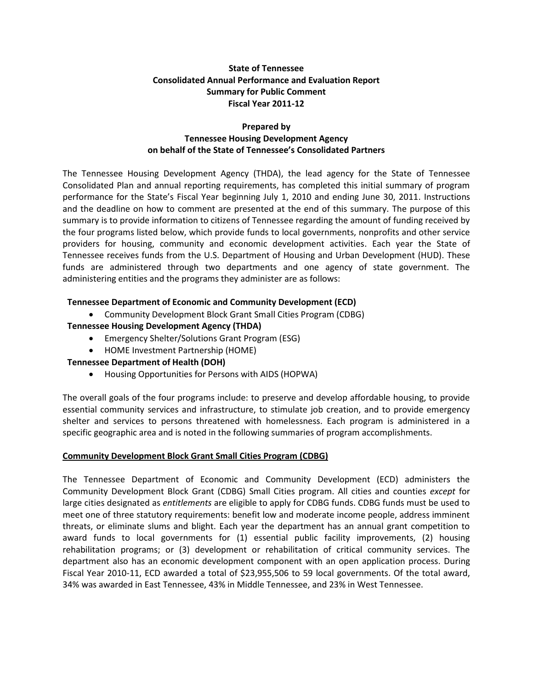# **State of Tennessee Consolidated Annual Performance and Evaluation Report Summary for Public Comment Fiscal Year 2011-12**

### **Prepared by Tennessee Housing Development Agency on behalf of the State of Tennessee's Consolidated Partners**

The Tennessee Housing Development Agency (THDA), the lead agency for the State of Tennessee Consolidated Plan and annual reporting requirements, has completed this initial summary of program performance for the State's Fiscal Year beginning July 1, 2010 and ending June 30, 2011. Instructions and the deadline on how to comment are presented at the end of this summary. The purpose of this summary is to provide information to citizens of Tennessee regarding the amount of funding received by the four programs listed below, which provide funds to local governments, nonprofits and other service providers for housing, community and economic development activities. Each year the State of Tennessee receives funds from the U.S. Department of Housing and Urban Development (HUD). These funds are administered through two departments and one agency of state government. The administering entities and the programs they administer are as follows:

## **Tennessee Department of Economic and Community Development (ECD)**

Community Development Block Grant Small Cities Program (CDBG)

## **Tennessee Housing Development Agency (THDA)**

- Emergency Shelter/Solutions Grant Program (ESG)
- HOME Investment Partnership (HOME)

# **Tennessee Department of Health (DOH)**

Housing Opportunities for Persons with AIDS (HOPWA)

The overall goals of the four programs include: to preserve and develop affordable housing, to provide essential community services and infrastructure, to stimulate job creation, and to provide emergency shelter and services to persons threatened with homelessness. Each program is administered in a specific geographic area and is noted in the following summaries of program accomplishments.

### **Community Development Block Grant Small Cities Program (CDBG)**

The Tennessee Department of Economic and Community Development (ECD) administers the Community Development Block Grant (CDBG) Small Cities program. All cities and counties *except* for large cities designated as *entitlements* are eligible to apply for CDBG funds. CDBG funds must be used to meet one of three statutory requirements: benefit low and moderate income people, address imminent threats, or eliminate slums and blight. Each year the department has an annual grant competition to award funds to local governments for (1) essential public facility improvements, (2) housing rehabilitation programs; or (3) development or rehabilitation of critical community services. The department also has an economic development component with an open application process. During Fiscal Year 2010-11, ECD awarded a total of \$23,955,506 to 59 local governments. Of the total award, 34% was awarded in East Tennessee, 43% in Middle Tennessee, and 23% in West Tennessee.